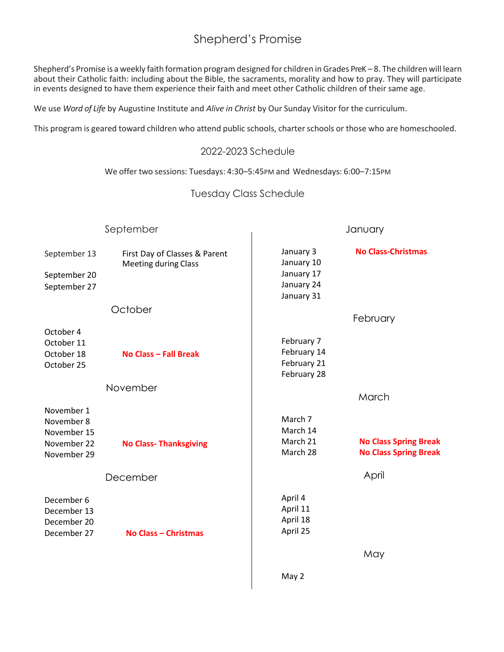## Shepherd's Promise

Shepherd's Promise is a weekly faith formation program designed for children in Grades PreK – 8. The children will learn about their Catholic faith: including about the Bible, the sacraments, morality and how to pray. They will participate in events designed to have them experience their faith and meet other Catholic children of their same age.

We use *Word of Life* by Augustine Institute and *Alive in Christ* by Our Sunday Visitor for the curriculum.

This program is geared toward children who attend public schools, charter schools or those who are homeschooled.

### 2022-2023 Schedule

We offer two sessions: Tuesdays: 4:30–5:45PM and Wednesdays: 6:00–7:15PM

### Tuesday Class Schedule

| September                                                             |                                                              | January                                                           |                                                              |
|-----------------------------------------------------------------------|--------------------------------------------------------------|-------------------------------------------------------------------|--------------------------------------------------------------|
| September 13<br>September 20<br>September 27                          | First Day of Classes & Parent<br><b>Meeting during Class</b> | January 3<br>January 10<br>January 17<br>January 24<br>January 31 | <b>No Class-Christmas</b>                                    |
|                                                                       | October                                                      |                                                                   | February                                                     |
| October 4<br>October 11<br>October 18<br>October 25                   | No Class - Fall Break                                        | February 7<br>February 14<br>February 21<br>February 28           |                                                              |
|                                                                       | November                                                     |                                                                   | March                                                        |
| November 1<br>November 8<br>November 15<br>November 22<br>November 29 | <b>No Class-Thanksgiving</b>                                 | March 7<br>March 14<br>March 21<br>March 28                       | <b>No Class Spring Break</b><br><b>No Class Spring Break</b> |
| December                                                              |                                                              |                                                                   | April                                                        |
| December 6<br>December 13<br>December 20<br>December 27               | <b>No Class - Christmas</b>                                  | April 4<br>April 11<br>April 18<br>April 25                       |                                                              |
|                                                                       |                                                              |                                                                   | May                                                          |
|                                                                       |                                                              | May 2                                                             |                                                              |